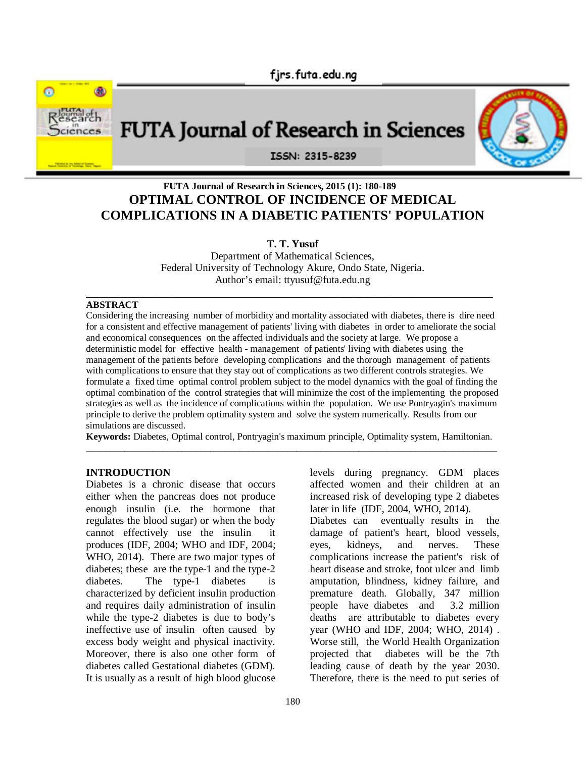

# **FUTA Journal of Research in Sciences**

ISSN: 2315-8239

# **FUTA Journal of Research in Sciences, 2015 (1): 180-189 OPTIMAL CONTROL OF INCIDENCE OF MEDICAL COMPLICATIONS IN A DIABETIC PATIENTS' POPULATION**

## **T. T. Yusuf**

Department of Mathematical Sciences, Federal University of Technology Akure, Ondo State, Nigeria. Author's email: ttyusuf@futa.edu.ng

#### \_\_\_\_\_\_\_\_\_\_\_\_\_\_\_\_\_\_\_\_\_\_\_\_\_\_\_\_\_\_\_\_\_\_\_\_\_\_\_\_\_\_\_\_\_\_\_\_\_\_\_\_\_\_\_\_\_\_\_\_\_\_\_\_\_\_\_\_\_\_\_ **ABSTRACT**

Considering the increasing number of morbidity and mortality associated with diabetes, there is dire need for a consistent and effective management of patients' living with diabetes in order to ameliorate the social and economical consequences on the affected individuals and the society at large. We propose a deterministic model for effective health - management of patients' living with diabetes using the management of the patients before developing complications and the thorough management of patients with complications to ensure that they stay out of complications as two different controls strategies. We formulate a fixed time optimal control problem subject to the model dynamics with the goal of finding the optimal combination of the control strategies that will minimize the cost of the implementing the proposed strategies as well as the incidence of complications within the population. We use Pontryagin's maximum principle to derive the problem optimality system and solve the system numerically. Results from our simulations are discussed.

**Keywords:** Diabetes, Optimal control, Pontryagin's maximum principle, Optimality system, Hamiltonian. \_\_\_\_\_\_\_\_\_\_\_\_\_\_\_\_\_\_\_\_\_\_\_\_\_\_\_\_\_\_\_\_\_\_\_\_\_\_\_\_\_\_\_\_\_\_\_\_\_\_\_\_\_\_\_\_\_\_\_\_\_\_\_\_\_\_\_\_\_\_\_\_\_\_\_\_\_\_\_\_\_\_\_\_\_\_

#### **INTRODUCTION**

Diabetes is a chronic disease that occurs either when the pancreas does not produce enough insulin (i.e. the hormone that regulates the blood sugar) or when the body cannot effectively use the insulin it produces (IDF, 2004; WHO and IDF, 2004; WHO, 2014). There are two major types of diabetes; these are the type-1 and the type-2 diabetes. The type-1 diabetes is characterized by deficient insulin production and requires daily administration of insulin while the type-2 diabetes is due to body's ineffective use of insulin often caused by excess body weight and physical inactivity. Moreover, there is also one other form of diabetes called Gestational diabetes (GDM). It is usually as a result of high blood glucose

levels during pregnancy. GDM places affected women and their children at an increased risk of developing type 2 diabetes later in life (IDF, 2004, WHO, 2014).

Diabetes can eventually results in the damage of patient's heart, blood vessels, eyes, kidneys, and nerves. These complications increase the patient's risk of heart disease and stroke, foot ulcer and limb amputation, blindness, kidney failure, and premature death. Globally, 347 million<br>people have diabetes and 3.2 million people have diabetes and deaths are attributable to diabetes every year (WHO and IDF, 2004; WHO, 2014) . Worse still, the World Health Organization projected that diabetes will be the 7th leading cause of death by the year 2030. Therefore, there is the need to put series of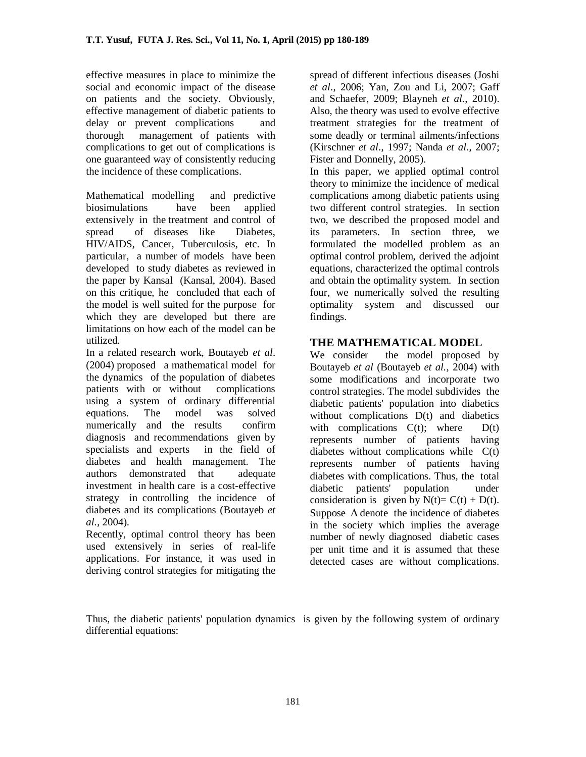effective measures in place to minimize the social and economic impact of the disease on patients and the society. Obviously, effective management of diabetic patients to delay or prevent complications and thorough management of patients with complications to get out of complications is one guaranteed way of consistently reducing the incidence of these complications.

Mathematical modelling and predictive biosimulations have been applied extensively in the treatment and control of spread of diseases like Diabetes, HIV/AIDS, Cancer, Tuberculosis, etc. In particular, a number of models have been developed to study diabetes as reviewed in the paper by Kansal (Kansal, 2004). Based on this critique, he concluded that each of the model is well suited for the purpose for which they are developed but there are limitations on how each of the model can be utilized.

In a related research work, Boutayeb *et al*. (2004) proposed a mathematical model for the dynamics of the population of diabetes patients with or without complications using a system of ordinary differential equations. The model was solved numerically and the results confirm diagnosis and recommendations given by specialists and experts in the field of diabetes and health management. The authors demonstrated that adequate investment in health care is a cost-effective strategy in controlling the incidence of diabetes and its complications (Boutayeb *et al.*, 2004).

Recently, optimal control theory has been used extensively in series of real-life applications. For instance, it was used in deriving control strategies for mitigating the spread of different infectious diseases (Joshi *et al*., 2006; Yan, Zou and Li, 2007; Gaff and Schaefer, 2009; Blayneh *et al.*, 2010). Also, the theory was used to evolve effective treatment strategies for the treatment of some deadly or terminal ailments/infections (Kirschner *et al*., 1997; Nanda *et al*., 2007; Fister and Donnelly, 2005).

In this paper, we applied optimal control theory to minimize the incidence of medical complications among diabetic patients using two different control strategies. In section two, we described the proposed model and its parameters. In section three, we formulated the modelled problem as an optimal control problem, derived the adjoint equations, characterized the optimal controls and obtain the optimality system. In section four, we numerically solved the resulting optimality system and discussed our findings.

# **THE MATHEMATICAL MODEL**

We consider the model proposed by Boutayeb *et al* (Boutayeb *et al.*, 2004) with some modifications and incorporate two control strategies. The model subdivides the diabetic patients' population into diabetics without complications D(t) and diabetics with complications  $C(t)$ ; where  $D(t)$ represents number of patients having diabetes without complications while C(t) represents number of patients having diabetes with complications. Thus, the total diabetic patients' population under consideration is given by  $N(t) = C(t) + D(t)$ . Suppose  $\Lambda$  denote the incidence of diabetes in the society which implies the average number of newly diagnosed diabetic cases per unit time and it is assumed that these detected cases are without complications.

Thus, the diabetic patients' population dynamics is given by the following system of ordinary differential equations: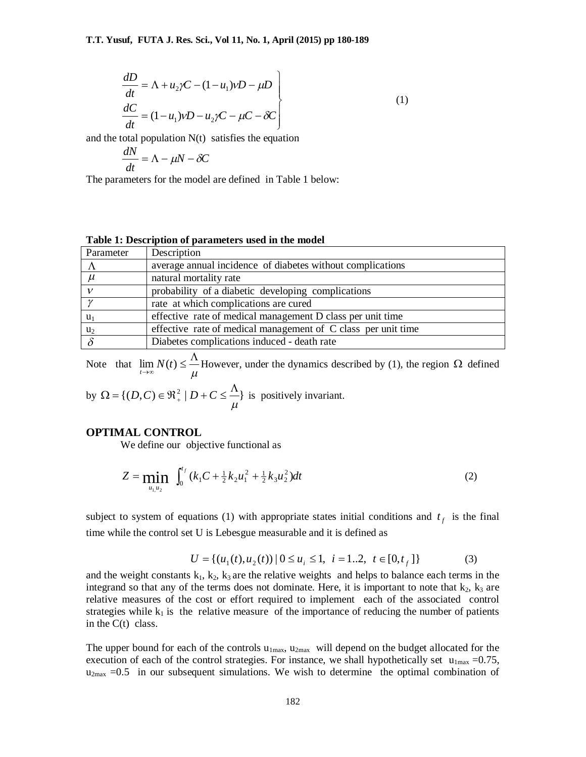$$
\begin{aligned}\n\frac{dD}{dt} &= \Lambda + u_2 \gamma C - (1 - u_1) \gamma D - \mu D \\
\frac{dC}{dt} &= (1 - u_1) \gamma D - u_2 \gamma C - \mu C - \delta C\n\end{aligned}
$$
\n(1)

and the total population  $N(t)$  satisfies the equation

$$
\frac{dN}{dt} = \Lambda - \mu N - \delta C
$$

The parameters for the model are defined in Table 1 below:

#### **Table 1: Description of parameters used in the model**

| Parameter | Description                                                   |
|-----------|---------------------------------------------------------------|
|           | average annual incidence of diabetes without complications    |
| $\mu$     | natural mortality rate                                        |
|           | probability of a diabetic developing complications            |
|           | rate at which complications are cured                         |
| $u_1$     | effective rate of medical management D class per unit time    |
| $u_2$     | effective rate of medical management of C class per unit time |
|           | Diabetes complications induced - death rate                   |

Note that  $\mu$  $\lim_{t\to\infty} N(t) \leq \frac{\Lambda}{\mu}$  However, under the dynamics described by (1), the region  $\Omega$  defined

by 
$$
\Omega = \{ (D, C) \in \mathbb{R}_+^2 \mid D + C \le \frac{\Lambda}{\mu} \}
$$
 is positively invariant.

#### **OPTIMAL CONTROL**

We define our objective functional as

$$
Z = \min_{u_1, u_2} \int_0^{t_f} (k_1 C + \frac{1}{2} k_2 u_1^2 + \frac{1}{2} k_3 u_2^2) dt
$$
 (2)

subject to system of equations (1) with appropriate states initial conditions and  $t_f$  is the final time while the control set U is Lebesgue measurable and it is defined as

$$
U = \{ (u_1(t), u_2(t)) \mid 0 \le u_i \le 1, \ i = 1..2, \ t \in [0, t_f] \}
$$
 (3)

and the weight constants  $k_1, k_2, k_3$  are the relative weights and helps to balance each terms in the integrand so that any of the terms does not dominate. Here, it is important to note that  $k_2$ ,  $k_3$  are relative measures of the cost or effort required to implement each of the associated control strategies while  $k_1$  is the relative measure of the importance of reducing the number of patients in the  $C(t)$  class.

The upper bound for each of the controls  $u_{1max}$ ,  $u_{2max}$  will depend on the budget allocated for the execution of each of the control strategies. For instance, we shall hypothetically set  $u_{1max} = 0.75$ ,  $u_{2max}$  =0.5 in our subsequent simulations. We wish to determine the optimal combination of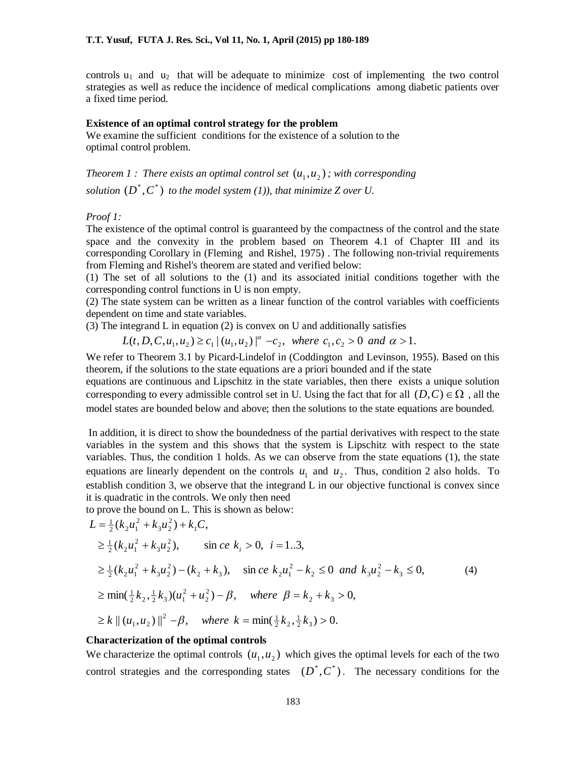controls  $u_1$  and  $u_2$  that will be adequate to minimize cost of implementing the two control strategies as well as reduce the incidence of medical complications among diabetic patients over a fixed time period.

#### **Existence of an optimal control strategy for the problem**

We examine the sufficient conditions for the existence of a solution to the optimal control problem.

*Theorem 1 : There exists an optimal control set*  $(u_1, u_2)$  ; with corresponding solution  $(D^*, C^*)$  to the model system (1)), that minimize Z over U.

#### *Proof 1:*

The existence of the optimal control is guaranteed by the compactness of the control and the state space and the convexity in the problem based on Theorem 4.1 of Chapter III and its corresponding Corollary in (Fleming and Rishel, 1975) . The following non-trivial requirements from Fleming and Rishel's theorem are stated and verified below:

(1) The set of all solutions to the (1) and its associated initial conditions together with the corresponding control functions in U is non empty.

(2) The state system can be written as a linear function of the control variables with coefficients dependent on time and state variables.

(3) The integrand L in equation (2) is convex on U and additionally satisfies

 $L(t, D, C, u_1, u_2) \ge c_1 |(u_1, u_2)|^{\alpha} - c_2$ , where  $c_1, c_2 > 0$  and  $\alpha > 1$ .

We refer to Theorem 3.1 by Picard-Lindelof in (Coddington and Levinson, 1955). Based on this theorem, if the solutions to the state equations are a priori bounded and if the state

equations are continuous and Lipschitz in the state variables, then there exists a unique solution corresponding to every admissible control set in U. Using the fact that for all  $(D, C) \in \Omega$ , all the model states are bounded below and above; then the solutions to the state equations are bounded.

 In addition, it is direct to show the boundedness of the partial derivatives with respect to the state variables in the system and this shows that the system is Lipschitz with respect to the state variables. Thus, the condition 1 holds. As we can observe from the state equations (1), the state equations are linearly dependent on the controls  $u_1$  and  $u_2$ . Thus, condition 2 also holds. To establish condition 3, we observe that the integrand L in our objective functional is convex since it is quadratic in the controls. We only then need

to prove the bound on L. This is shown as below:

$$
L = \frac{1}{2} (k_2 u_1^2 + k_3 u_2^2) + k_1 C,
$$
  
\n
$$
\geq \frac{1}{2} (k_2 u_1^2 + k_3 u_2^2), \qquad \text{sin ce } k_i > 0, \quad i = 1..3,
$$
  
\n
$$
\geq \frac{1}{2} (k_2 u_1^2 + k_3 u_2^2) - (k_2 + k_3), \qquad \text{sin ce } k_2 u_1^2 - k_2 \leq 0 \quad \text{and} \quad k_3 u_2^2 - k_3 \leq 0,
$$
  
\n
$$
\geq \min(\frac{1}{2} k_2, \frac{1}{2} k_3) (u_1^2 + u_2^2) - \beta, \quad \text{where } \beta = k_2 + k_3 > 0,
$$
  
\n
$$
\geq k || (u_1, u_2) ||^2 - \beta, \quad \text{where } k = \min(\frac{1}{2} k_2, \frac{1}{2} k_3) > 0.
$$

#### **Characterization of the optimal controls**

We characterize the optimal controls  $(u_1, u_2)$  which gives the optimal levels for each of the two control strategies and the corresponding states  $(D^*, C^*)$ . The necessary conditions for the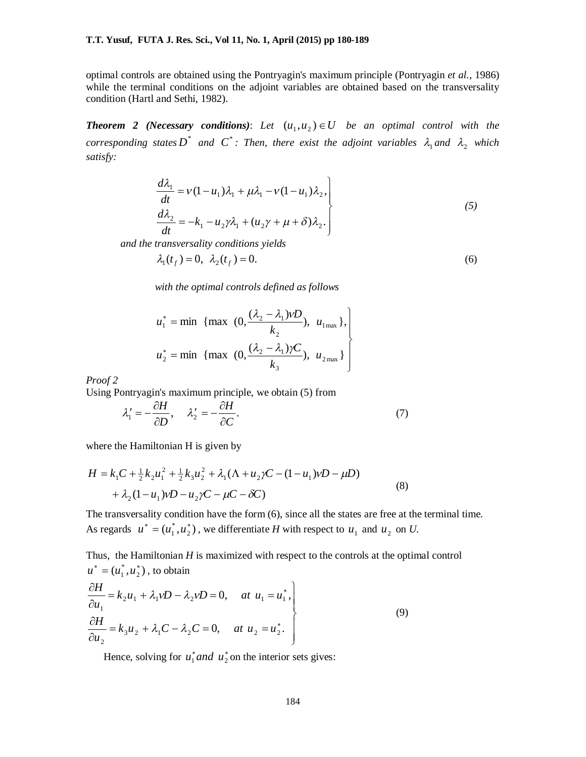optimal controls are obtained using the Pontryagin's maximum principle (Pontryagin *et al.*, 1986) while the terminal conditions on the adjoint variables are obtained based on the transversality condition (Hartl and Sethi, 1982).

**Theorem 2 (Necessary conditions):** Let  $(u_1, u_2) \in U$  be an optimal control with the *corresponding states*  $D^*$  and  $C^*$ : Then, there exist the adjoint variables  $\lambda_1$  and  $\lambda_2$  which *satisfy:*

$$
\begin{aligned}\n\frac{d\lambda_1}{dt} &= V(1 - u_1)\lambda_1 + \mu\lambda_1 - V(1 - u_1)\lambda_2, \\
\frac{d\lambda_2}{dt} &= -k_1 - u_2\gamma\lambda_1 + (u_2\gamma + \mu + \delta)\lambda_2.\n\end{aligned}
$$
\n(5)

*and the transversality conditions yields*

$$
\lambda_1(t_f) = 0, \ \lambda_2(t_f) = 0. \tag{6}
$$

*with the optimal controls defined as follows*

$$
u_1^* = \min \{ \max \left( 0, \frac{(\lambda_2 - \lambda_1)\nu D}{k_2}, u_{1_{\max}} \right\}, \\ u_2^* = \min \{ \max \left( 0, \frac{(\lambda_2 - \lambda_1)\nu C}{k_3}, u_{2_{\max}} \right\} \right)
$$

*Proof 2*

Using Pontryagin's maximum principle, we obtain (5) from

$$
\lambda_1' = -\frac{\partial H}{\partial D}, \quad \lambda_2' = -\frac{\partial H}{\partial C}.
$$
\n(7)

where the Hamiltonian H is given by

$$
H = k_1 C + \frac{1}{2} k_2 u_1^2 + \frac{1}{2} k_3 u_2^2 + \lambda_1 (\Lambda + u_2 \gamma C - (1 - u_1) \gamma D - \mu D)
$$
  
+  $\lambda_2 (1 - u_1) \gamma D - u_2 \gamma C - \mu C - \delta C$  (8)

The transversality condition have the form (6), since all the states are free at the terminal time. As regards  $u^* = (u_1^*, u_2^*)$ \* 1  $u^* = (u_1^*, u_2^*)$ , we differentiate *H* with respect to  $u_1$  and  $u_2$  on *U*.

Thus, the Hamiltonian *H* is maximized with respect to the controls at the optimal control  $(u_1^*, u_2^*)$ \* 1  $u^* = (u_1^*, u_2^*)$ , to obtain  $\mathcal{L}$  $\partial H$ 

$$
\begin{aligned}\n\frac{\partial H}{\partial u_1} &= k_2 u_1 + \lambda_1 v D - \lambda_2 v D = 0, \quad \text{at } u_1 = u_1^*, \\
\frac{\partial H}{\partial u_2} &= k_3 u_2 + \lambda_1 C - \lambda_2 C = 0, \quad \text{at } u_2 = u_2^*.\n\end{aligned}\n\tag{9}
$$

Hence, solving for  $u_1^*$  *and*  $u_2^*$  on the interior sets gives: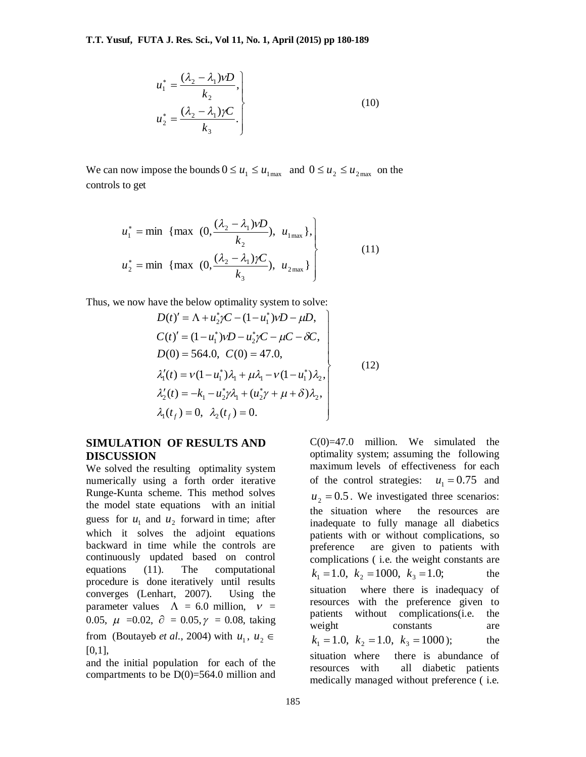$$
u_1^* = \frac{(\lambda_2 - \lambda_1)\nu D}{k_2},
$$
  
\n
$$
u_2^* = \frac{(\lambda_2 - \lambda_1)\gamma C}{k_3}.
$$
\n(10)

We can now impose the bounds  $0 \le u_1 \le u_1$ <sub>max</sub> and  $0 \le u_2 \le u_2$ <sub>max</sub> on the controls to get

$$
u_1^* = \min \{ \max (0, \frac{(\lambda_2 - \lambda_1)\nu D}{k_2}), u_{1\max} \},\
$$
  

$$
u_2^* = \min \{ \max (0, \frac{(\lambda_2 - \lambda_1)\nu C}{k_3}), u_{2\max} \} \}
$$
(11)

Thus, we now have the below optimality system to solve:

$$
D(t)' = \Lambda + u_2^* \gamma C - (1 - u_1^*) \gamma D - \mu D,
$$
  
\n
$$
C(t)' = (1 - u_1^*) \gamma D - u_2^* \gamma C - \mu C - \delta C,
$$
  
\n
$$
D(0) = 564.0, C(0) = 47.0,
$$
  
\n
$$
\lambda'_1(t) = \gamma (1 - u_1^*) \lambda_1 + \mu \lambda_1 - \gamma (1 - u_1^*) \lambda_2,
$$
  
\n
$$
\lambda'_2(t) = -k_1 - u_2^* \gamma \lambda_1 + (u_2^* \gamma + \mu + \delta) \lambda_2,
$$
  
\n
$$
\lambda_1(t_f) = 0, \lambda_2(t_f) = 0.
$$
  
\n(12)

### **SIMULATION OF RESULTS AND DISCUSSION**

We solved the resulting optimality system numerically using a forth order iterative Runge-Kunta scheme. This method solves the model state equations with an initial guess for  $u_1$  and  $u_2$  forward in time; after which it solves the adjoint equations backward in time while the controls are continuously updated based on control equations (11). The computational procedure is done iteratively until results converges (Lenhart, 2007). Using the parameter values  $\Lambda = 6.0$  million,  $v =$ 0.05,  $\mu$  =0.02,  $\partial$  = 0.05,  $\gamma$  = 0.08, taking from (Boutayeb *et al.*, 2004) with  $u_1, u_2 \in$ [0,1],

and the initial population for each of the compartments to be  $D(0)=564.0$  million and  $C(0)=47.0$  million. We simulated the optimality system; assuming the following maximum levels of effectiveness for each of the control strategies:  $u_1 = 0.75$  and  $u_2 = 0.5$ . We investigated three scenarios: the situation where the resources are inadequate to fully manage all diabetics patients with or without complications, so preference are given to patients with complications ( i.e. the weight constants are  $k_1 = 1.0$ ,  $k_2 = 1000$ ,  $k_3 = 1.0$ ; the situation where there is inadequacy of resources with the preference given to patients without complications(i.e. the weight constants are  $k_1 = 1.0, \ \ k_2 = 1.0, \ \ k_3 = 1000$  ); the situation where there is abundance of resources with all diabetic patients medically managed without preference ( i.e.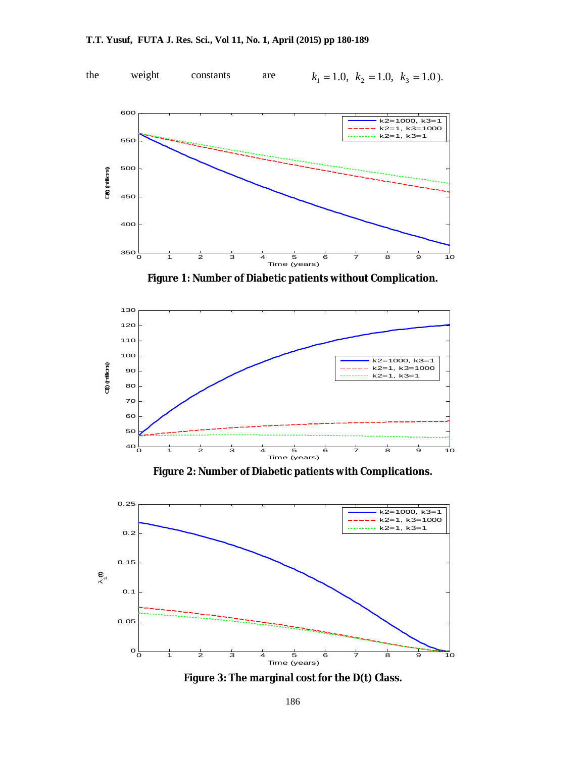



**Figure 2: Number of Diabetic patients with Complications.**



**Figure 3: The marginal cost for the D(t) Class.**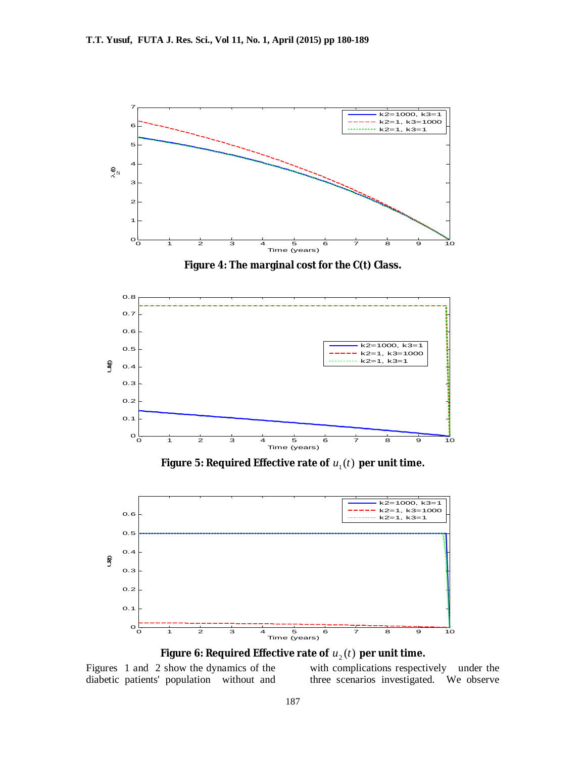

Figure 6: Required Effective rate of  $\mathit{u}_{\text{2}}(t)$  per unit time.

Figures 1 and 2 show the dynamics of the diabetic patients' population without and

with complications respectively under the three scenarios investigated. We observe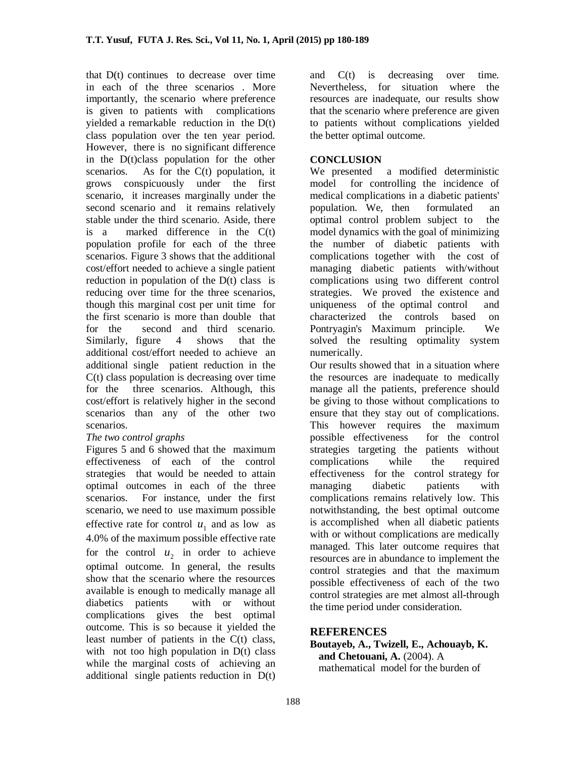that D(t) continues to decrease over time in each of the three scenarios . More importantly, the scenario where preference is given to patients with complications yielded a remarkable reduction in the D(t) class population over the ten year period. However, there is no significant difference in the D(t)class population for the other scenarios. As for the C(t) population, it grows conspicuously under the first scenario, it increases marginally under the second scenario and it remains relatively stable under the third scenario. Aside, there is a marked difference in the  $C(t)$ population profile for each of the three scenarios. Figure 3 shows that the additional cost/effort needed to achieve a single patient reduction in population of the D(t) class is reducing over time for the three scenarios, though this marginal cost per unit time for the first scenario is more than double that for the second and third scenario. Similarly, figure 4 shows that the additional cost/effort needed to achieve an additional single patient reduction in the C(t) class population is decreasing over time for the three scenarios. Although, this cost/effort is relatively higher in the second scenarios than any of the other two scenarios.

# *The two control graphs*

Figures 5 and 6 showed that the maximum effectiveness of each of the control strategies that would be needed to attain optimal outcomes in each of the three scenarios. For instance, under the first scenario, we need to use maximum possible effective rate for control  $u_1$  and as low as 4.0% of the maximum possible effective rate for the control  $u_2$  in order to achieve optimal outcome. In general, the results show that the scenario where the resources available is enough to medically manage all diabetics patients with or without complications gives the best optimal outcome. This is so because it yielded the least number of patients in the C(t) class, with not too high population in D(t) class while the marginal costs of achieving an additional single patients reduction in D(t)

and C(t) is decreasing over time. Nevertheless, for situation where the resources are inadequate, our results show that the scenario where preference are given to patients without complications yielded the better optimal outcome.

# **CONCLUSION**

We presented a modified deterministic model for controlling the incidence of medical complications in a diabetic patients' population. We, then formulated an optimal control problem subject to the model dynamics with the goal of minimizing the number of diabetic patients with complications together with the cost of managing diabetic patients with/without complications using two different control strategies. We proved the existence and uniqueness of the optimal control and characterized the controls based on Pontryagin's Maximum principle. We solved the resulting optimality system numerically.

Our results showed that in a situation where the resources are inadequate to medically manage all the patients, preference should be giving to those without complications to ensure that they stay out of complications. This however requires the maximum possible effectiveness for the control strategies targeting the patients without complications while the required effectiveness for the control strategy for managing diabetic patients with complications remains relatively low. This notwithstanding, the best optimal outcome is accomplished when all diabetic patients with or without complications are medically managed. This later outcome requires that resources are in abundance to implement the control strategies and that the maximum possible effectiveness of each of the two control strategies are met almost all-through the time period under consideration.

# **REFERENCES**

**Boutayeb, A., Twizell, E., Achouayb, K. and Chetouani, A.** (2004). A mathematical model for the burden of